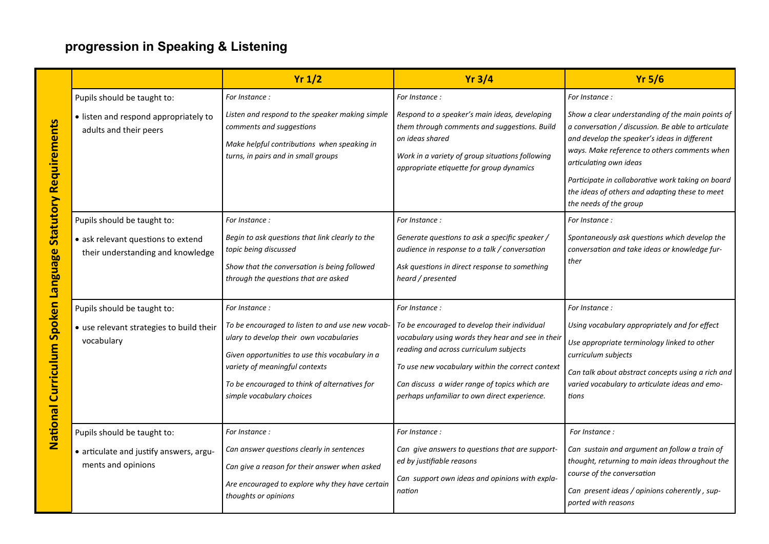## **progression in Speaking & Listening**

|                                     |                                                                         | Yr 1/2                                                                                                                                                                                                                                                         | Yr3/4                                                                                                                                                                                                                                                                                            | $Yr$ 5/6                                                                                                                                                                                                                                                                                                                                                          |
|-------------------------------------|-------------------------------------------------------------------------|----------------------------------------------------------------------------------------------------------------------------------------------------------------------------------------------------------------------------------------------------------------|--------------------------------------------------------------------------------------------------------------------------------------------------------------------------------------------------------------------------------------------------------------------------------------------------|-------------------------------------------------------------------------------------------------------------------------------------------------------------------------------------------------------------------------------------------------------------------------------------------------------------------------------------------------------------------|
|                                     | Pupils should be taught to:                                             | For Instance:                                                                                                                                                                                                                                                  | For Instance :                                                                                                                                                                                                                                                                                   | For Instance:                                                                                                                                                                                                                                                                                                                                                     |
| <b>Statutory Requirements</b>       | • listen and respond appropriately to<br>adults and their peers         | Listen and respond to the speaker making simple<br>comments and suggestions<br>Make helpful contributions when speaking in<br>turns, in pairs and in small groups                                                                                              | Respond to a speaker's main ideas, developing<br>them through comments and suggestions. Build<br>on ideas shared<br>Work in a variety of group situations following<br>appropriate etiquette for group dynamics                                                                                  | Show a clear understanding of the main points of<br>a conversation / discussion. Be able to articulate<br>and develop the speaker's ideas in different<br>ways. Make reference to others comments when<br>articulating own ideas<br>Participate in collaborative work taking on board<br>the ideas of others and adapting these to meet<br>the needs of the group |
|                                     | Pupils should be taught to:                                             | For Instance:                                                                                                                                                                                                                                                  | For Instance :                                                                                                                                                                                                                                                                                   | For Instance:                                                                                                                                                                                                                                                                                                                                                     |
|                                     | • ask relevant questions to extend<br>their understanding and knowledge | Begin to ask questions that link clearly to the<br>topic being discussed<br>Show that the conversation is being followed<br>through the questions that are asked                                                                                               | Generate questions to ask a specific speaker /<br>audience in response to a talk / conversation<br>Ask questions in direct response to something<br>heard / presented                                                                                                                            | Spontaneously ask questions which develop the<br>conversation and take ideas or knowledge fur-<br>ther                                                                                                                                                                                                                                                            |
|                                     | Pupils should be taught to:                                             | For Instance:                                                                                                                                                                                                                                                  | For Instance :                                                                                                                                                                                                                                                                                   | For Instance:                                                                                                                                                                                                                                                                                                                                                     |
| National Curriculum Spoken Language | • use relevant strategies to build their<br>vocabulary                  | To be encouraged to listen to and use new vocab-<br>ulary to develop their own vocabularies<br>Given opportunities to use this vocabulary in a<br>variety of meaningful contexts<br>To be encouraged to think of alternatives for<br>simple vocabulary choices | To be encouraged to develop their individual<br>vocabulary using words they hear and see in their<br>reading and across curriculum subjects<br>To use new vocabulary within the correct context<br>Can discuss a wider range of topics which are<br>perhaps unfamiliar to own direct experience. | Using vocabulary appropriately and for effect<br>Use appropriate terminology linked to other<br>curriculum subjects<br>Can talk about abstract concepts using a rich and<br>varied vocabulary to articulate ideas and emo-<br>tions                                                                                                                               |
|                                     | Pupils should be taught to:                                             | For Instance:                                                                                                                                                                                                                                                  | For Instance :                                                                                                                                                                                                                                                                                   | For Instance:                                                                                                                                                                                                                                                                                                                                                     |
|                                     | • articulate and justify answers, argu-<br>ments and opinions           | Can answer questions clearly in sentences<br>Can give a reason for their answer when asked<br>Are encouraged to explore why they have certain<br>thoughts or opinions                                                                                          | Can give answers to questions that are support-<br>ed by justifiable reasons<br>Can support own ideas and opinions with expla-<br>nation                                                                                                                                                         | Can sustain and argument an follow a train of<br>thought, returning to main ideas throughout the<br>course of the conversation<br>Can present ideas / opinions coherently, sup-<br>ported with reasons                                                                                                                                                            |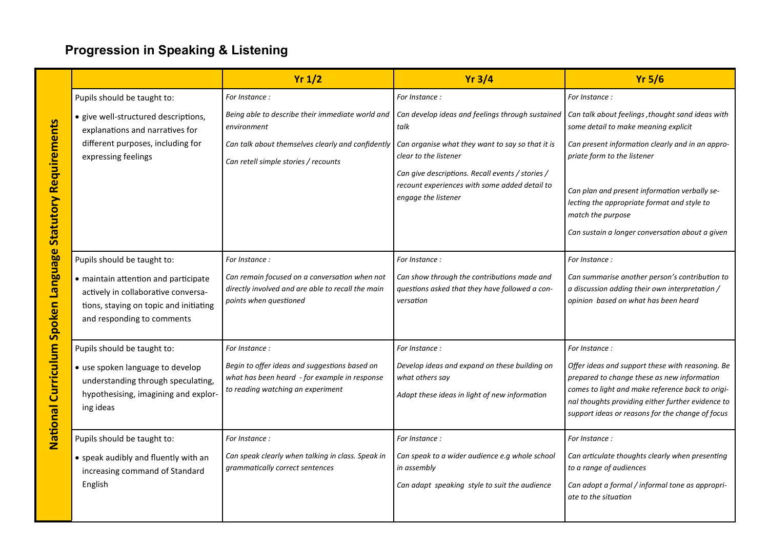## **Progression in Speaking & Listening**

|                                                                                   |                                                                                                                                                     | Yr 1/2                                                                                                                              | $Yr$ 3/4                                                                                                                 | $Yr$ 5/6                                                                                                                                                                                                                                                     |
|-----------------------------------------------------------------------------------|-----------------------------------------------------------------------------------------------------------------------------------------------------|-------------------------------------------------------------------------------------------------------------------------------------|--------------------------------------------------------------------------------------------------------------------------|--------------------------------------------------------------------------------------------------------------------------------------------------------------------------------------------------------------------------------------------------------------|
| <b>Statutory Requirements</b><br>Language<br>Curriculum Spoken<br><b>National</b> | Pupils should be taught to:                                                                                                                         | For Instance :                                                                                                                      | For Instance:                                                                                                            | For Instance :                                                                                                                                                                                                                                               |
|                                                                                   | · give well-structured descriptions,<br>explanations and narratives for                                                                             | Being able to describe their immediate world and<br>environment                                                                     | Can develop ideas and feelings through sustained<br>talk                                                                 | Can talk about feelings , thought sand ideas with<br>some detail to make meaning explicit                                                                                                                                                                    |
|                                                                                   | different purposes, including for<br>expressing feelings                                                                                            | Can talk about themselves clearly and confidently<br>Can retell simple stories / recounts                                           | Can organise what they want to say so that it is<br>clear to the listener                                                | Can present information clearly and in an appro-<br>priate form to the listener                                                                                                                                                                              |
|                                                                                   |                                                                                                                                                     |                                                                                                                                     | Can give descriptions. Recall events / stories /<br>recount experiences with some added detail to<br>engage the listener | Can plan and present information verbally se-<br>lecting the appropriate format and style to<br>match the purpose<br>Can sustain a longer conversation about a given                                                                                         |
|                                                                                   | Pupils should be taught to:                                                                                                                         | For Instance :                                                                                                                      | For Instance:                                                                                                            | For Instance:                                                                                                                                                                                                                                                |
|                                                                                   | • maintain attention and participate<br>actively in collaborative conversa-<br>tions, staying on topic and initiating<br>and responding to comments | Can remain focused on a conversation when not<br>directly involved and are able to recall the main<br>points when questioned        | Can show through the contributions made and<br>questions asked that they have followed a con-<br>versation               | Can summarise another person's contribution to<br>a discussion adding their own interpretation /<br>opinion based on what has been heard                                                                                                                     |
|                                                                                   | Pupils should be taught to:                                                                                                                         | For Instance :                                                                                                                      | For Instance:                                                                                                            | For Instance:                                                                                                                                                                                                                                                |
|                                                                                   | • use spoken language to develop<br>understanding through speculating,<br>hypothesising, imagining and explor-<br>ing ideas                         | Begin to offer ideas and suggestions based on<br>what has been heard - for example in response<br>to reading watching an experiment | Develop ideas and expand on these building on<br>what others say<br>Adapt these ideas in light of new information        | Offer ideas and support these with reasoning. Be<br>prepared to change these as new information<br>comes to light and make reference back to origi-<br>nal thoughts providing either further evidence to<br>support ideas or reasons for the change of focus |
|                                                                                   | Pupils should be taught to:                                                                                                                         | For Instance :                                                                                                                      | For Instance:                                                                                                            | For Instance:                                                                                                                                                                                                                                                |
|                                                                                   | • speak audibly and fluently with an<br>increasing command of Standard                                                                              | Can speak clearly when talking in class. Speak in<br>grammatically correct sentences                                                | Can speak to a wider audience e.g whole school<br>in assembly                                                            | Can articulate thoughts clearly when presenting<br>to a range of audiences                                                                                                                                                                                   |
|                                                                                   | English                                                                                                                                             |                                                                                                                                     | Can adapt speaking style to suit the audience                                                                            | Can adopt a formal / informal tone as appropri-<br>ate to the situation                                                                                                                                                                                      |